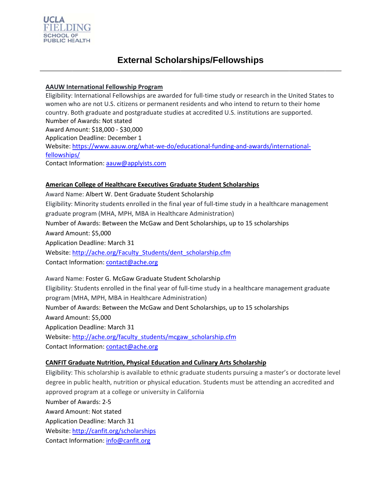

### **AAUW International Fellowship Program**

Eligibility: International Fellowships are awarded for full-time study or research in the United States to women who are not U.S. citizens or permanent residents and who intend to return to their home country. Both graduate and postgraduate studies at accredited U.S. institutions are supported. Number of Awards: Not stated Award Amount: \$18,000 - \$30,000 **Application Deadline: December 1** Website: https://www.aauw.org/what-we-do/educational-funding-and-awards/internationalfellowships/ Contact Information: aauw@applyists.com

### American College of Healthcare Executives Graduate Student Scholarships

Award Name: Albert W. Dent Graduate Student Scholarship Eligibility: Minority students enrolled in the final year of full-time study in a healthcare management graduate program (MHA, MPH, MBA in Healthcare Administration) Number of Awards: Between the McGaw and Dent Scholarships, up to 15 scholarships Award Amount: \$5,000 **Application Deadline: March 31** Website: http://ache.org/Faculty Students/dent scholarship.cfm Contact Information: contact@ache.org

Award Name: Foster G. McGaw Graduate Student Scholarship Eligibility: Students enrolled in the final year of full-time study in a healthcare management graduate program (MHA, MPH, MBA in Healthcare Administration) Number of Awards: Between the McGaw and Dent Scholarships, up to 15 scholarships Award Amount: \$5,000 **Application Deadline: March 31** Website: http://ache.org/faculty students/mcgaw scholarship.cfm Contact Information: contact@ache.org

#### **CANFIT Graduate Nutrition, Physical Education and Culinary Arts Scholarship**

Eligibility: This scholarship is available to ethnic graduate students pursuing a master's or doctorate level degree in public health, nutrition or physical education. Students must be attending an accredited and approved program at a college or university in California Number of Awards: 2-5 Award Amount: Not stated **Application Deadline: March 31** Website: http://canfit.org/scholarships Contact Information: info@canfit.org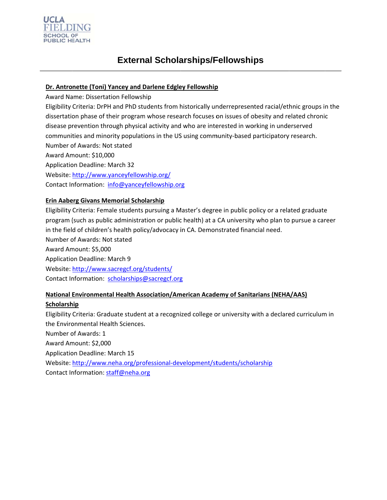

### Dr. Antronette (Toni) Yancey and Darlene Edgley Fellowship

Award Name: Dissertation Fellowship

Eligibility Criteria: DrPH and PhD students from historically underrepresented racial/ethnic groups in the dissertation phase of their program whose research focuses on issues of obesity and related chronic disease prevention through physical activity and who are interested in working in underserved communities and minority populations in the US using community-based participatory research. Number of Awards: Not stated Award Amount: \$10,000 **Application Deadline: March 32** Website: http://www.yanceyfellowship.org/

Contact Information: info@yanceyfellowship.org

#### **Erin Aaberg Givans Memorial Scholarship**

Eligibility Criteria: Female students pursuing a Master's degree in public policy or a related graduate program (such as public administration or public health) at a CA university who plan to pursue a career in the field of children's health policy/advocacy in CA. Demonstrated financial need. Number of Awards: Not stated Award Amount: \$5,000 **Application Deadline: March 9** Website: http://www.sacregcf.org/students/ Contact Information: scholarships@sacregcf.org

# **National Environmental Health Association/American Academy of Sanitarians (NEHA/AAS)**

#### Scholarship

Eligibility Criteria: Graduate student at a recognized college or university with a declared curriculum in the Environmental Health Sciences.

Number of Awards: 1

Award Amount: \$2,000

**Application Deadline: March 15** 

Website: http://www.neha.org/professional-development/students/scholarship

Contact Information: staff@neha.org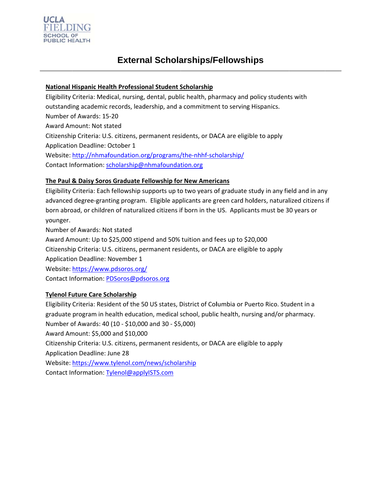

# National Hispanic Health Professional Student Scholarship

Eligibility Criteria: Medical, nursing, dental, public health, pharmacy and policy students with outstanding academic records, leadership, and a commitment to serving Hispanics. Number of Awards: 15-20 Award Amount: Not stated Citizenship Criteria: U.S. citizens, permanent residents, or DACA are eligible to apply Application Deadline: October 1 Website: http://nhmafoundation.org/programs/the-nhhf-scholarship/ Contact Information: scholarship@nhmafoundation.org

### The Paul & Daisy Soros Graduate Fellowship for New Americans

Eligibility Criteria: Each fellowship supports up to two years of graduate study in any field and in any advanced degree-granting program. Eligible applicants are green card holders, naturalized citizens if born abroad, or children of naturalized citizens if born in the US. Applicants must be 30 years or younger.

Number of Awards: Not stated Award Amount: Up to \$25,000 stipend and 50% tuition and fees up to \$20,000 Citizenship Criteria: U.S. citizens, permanent residents, or DACA are eligible to apply **Application Deadline: November 1** Website: https://www.pdsoros.org/ Contact Information: PDSoros@pdsoros.org

#### **Tylenol Future Care Scholarship**

Eligibility Criteria: Resident of the 50 US states, District of Columbia or Puerto Rico. Student in a graduate program in health education, medical school, public health, nursing and/or pharmacy. Number of Awards: 40 (10 - \$10,000 and 30 - \$5,000) Award Amount: \$5,000 and \$10,000 Citizenship Criteria: U.S. citizens, permanent residents, or DACA are eligible to apply **Application Deadline: June 28** Website: https://www.tylenol.com/news/scholarship Contact Information: Tylenol@applyISTS.com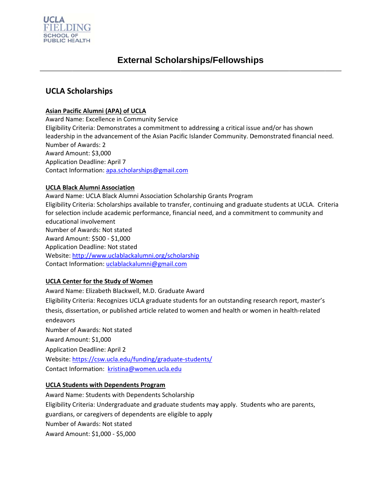

# **UCLA Scholarships**

### Asian Pacific Alumni (APA) of UCLA

**Award Name: Excellence in Community Service** Eligibility Criteria: Demonstrates a commitment to addressing a critical issue and/or has shown leadership in the advancement of the Asian Pacific Islander Community. Demonstrated financial need. Number of Awards: 2 Award Amount: \$3,000 **Application Deadline: April 7** Contact Information: apa.scholarships@gmail.com

#### **UCLA Black Alumni Association**

Award Name: UCLA Black Alumni Association Scholarship Grants Program Eligibility Criteria: Scholarships available to transfer, continuing and graduate students at UCLA. Criteria for selection include academic performance, financial need, and a commitment to community and educational involvement Number of Awards: Not stated Award Amount: \$500 - \$1,000 **Application Deadline: Not stated** Website: http://www.uclablackalumni.org/scholarship Contact Information: uclablackalumni@gmail.com

#### **UCLA Center for the Study of Women**

Award Name: Elizabeth Blackwell, M.D. Graduate Award Eligibility Criteria: Recognizes UCLA graduate students for an outstanding research report, master's thesis, dissertation, or published article related to women and health or women in health-related endeavors Number of Awards: Not stated Award Amount: \$1,000 **Application Deadline: April 2** Website: https://csw.ucla.edu/funding/graduate-students/ Contact Information: kristina@women.ucla.edu

# **UCLA Students with Dependents Program**

Award Name: Students with Dependents Scholarship Eligibility Criteria: Undergraduate and graduate students may apply. Students who are parents, guardians, or caregivers of dependents are eligible to apply Number of Awards: Not stated Award Amount: \$1,000 - \$5,000